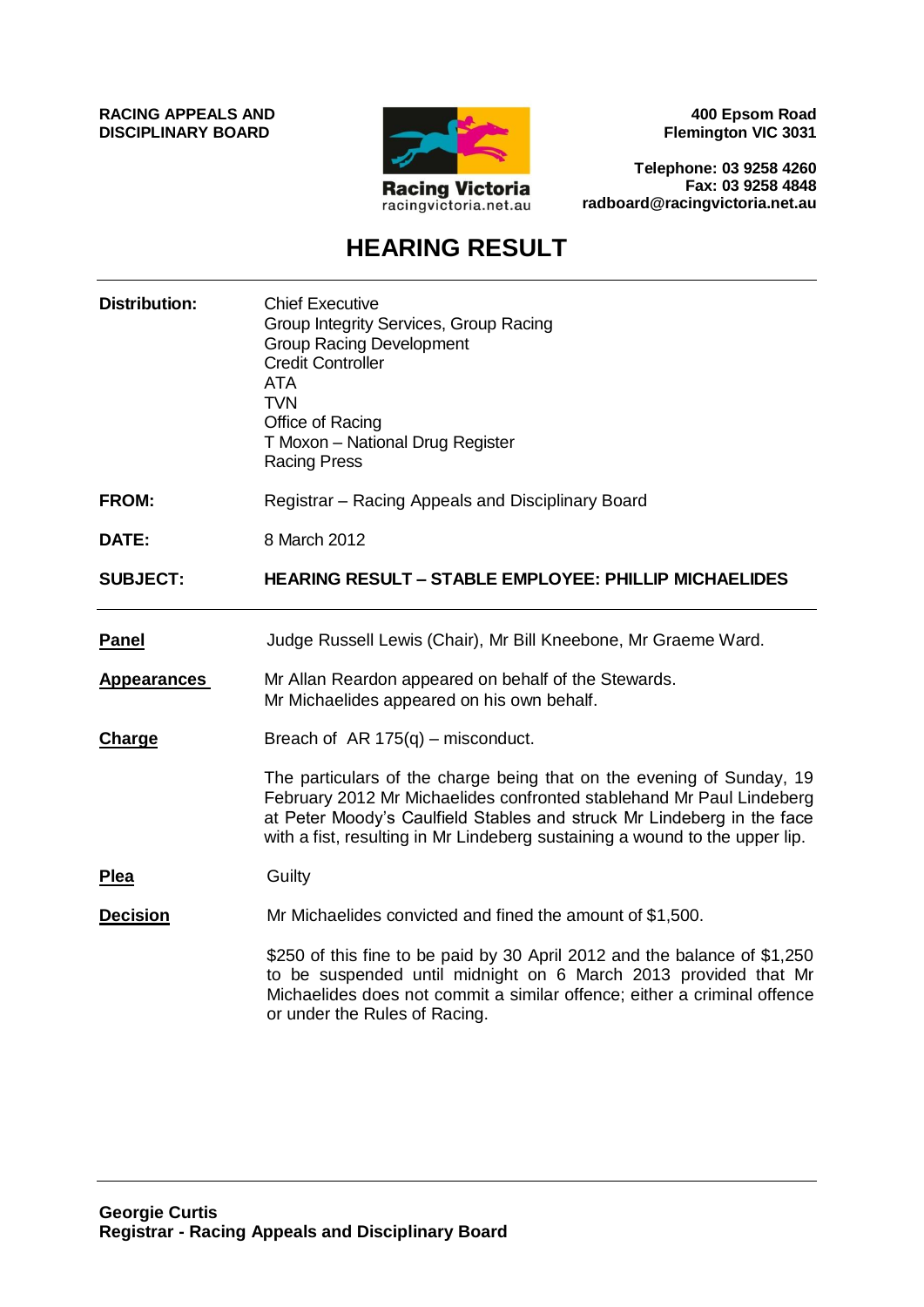**RACING APPEALS AND DISCIPLINARY BOARD**



**400 Epsom Road Flemington VIC 3031**

**Telephone: 03 9258 4260 Fax: 03 9258 4848 radboard@racingvictoria.net.au**

## **HEARING RESULT**

| <b>Distribution:</b> | <b>Chief Executive</b><br>Group Integrity Services, Group Racing<br><b>Group Racing Development</b><br><b>Credit Controller</b><br><b>ATA</b><br><b>TVN</b><br>Office of Racing<br>T Moxon - National Drug Register<br><b>Racing Press</b>                                                             |
|----------------------|--------------------------------------------------------------------------------------------------------------------------------------------------------------------------------------------------------------------------------------------------------------------------------------------------------|
| <b>FROM:</b>         | Registrar – Racing Appeals and Disciplinary Board                                                                                                                                                                                                                                                      |
| DATE:                | 8 March 2012                                                                                                                                                                                                                                                                                           |
| <b>SUBJECT:</b>      | <b>HEARING RESULT – STABLE EMPLOYEE: PHILLIP MICHAELIDES</b>                                                                                                                                                                                                                                           |
| <b>Panel</b>         | Judge Russell Lewis (Chair), Mr Bill Kneebone, Mr Graeme Ward.                                                                                                                                                                                                                                         |
| <b>Appearances</b>   | Mr Allan Reardon appeared on behalf of the Stewards.<br>Mr Michaelides appeared on his own behalf.                                                                                                                                                                                                     |
| <b>Charge</b>        | Breach of AR $175(q)$ – misconduct.                                                                                                                                                                                                                                                                    |
|                      | The particulars of the charge being that on the evening of Sunday, 19<br>February 2012 Mr Michaelides confronted stablehand Mr Paul Lindeberg<br>at Peter Moody's Caulfield Stables and struck Mr Lindeberg in the face<br>with a fist, resulting in Mr Lindeberg sustaining a wound to the upper lip. |
| <b>Plea</b>          | Guilty                                                                                                                                                                                                                                                                                                 |
| <b>Decision</b>      | Mr Michaelides convicted and fined the amount of \$1,500.                                                                                                                                                                                                                                              |
|                      | \$250 of this fine to be paid by 30 April 2012 and the balance of \$1,250<br>to be suspended until midnight on 6 March 2013 provided that Mr<br>Michaelides does not commit a similar offence; either a criminal offence<br>or under the Rules of Racing.                                              |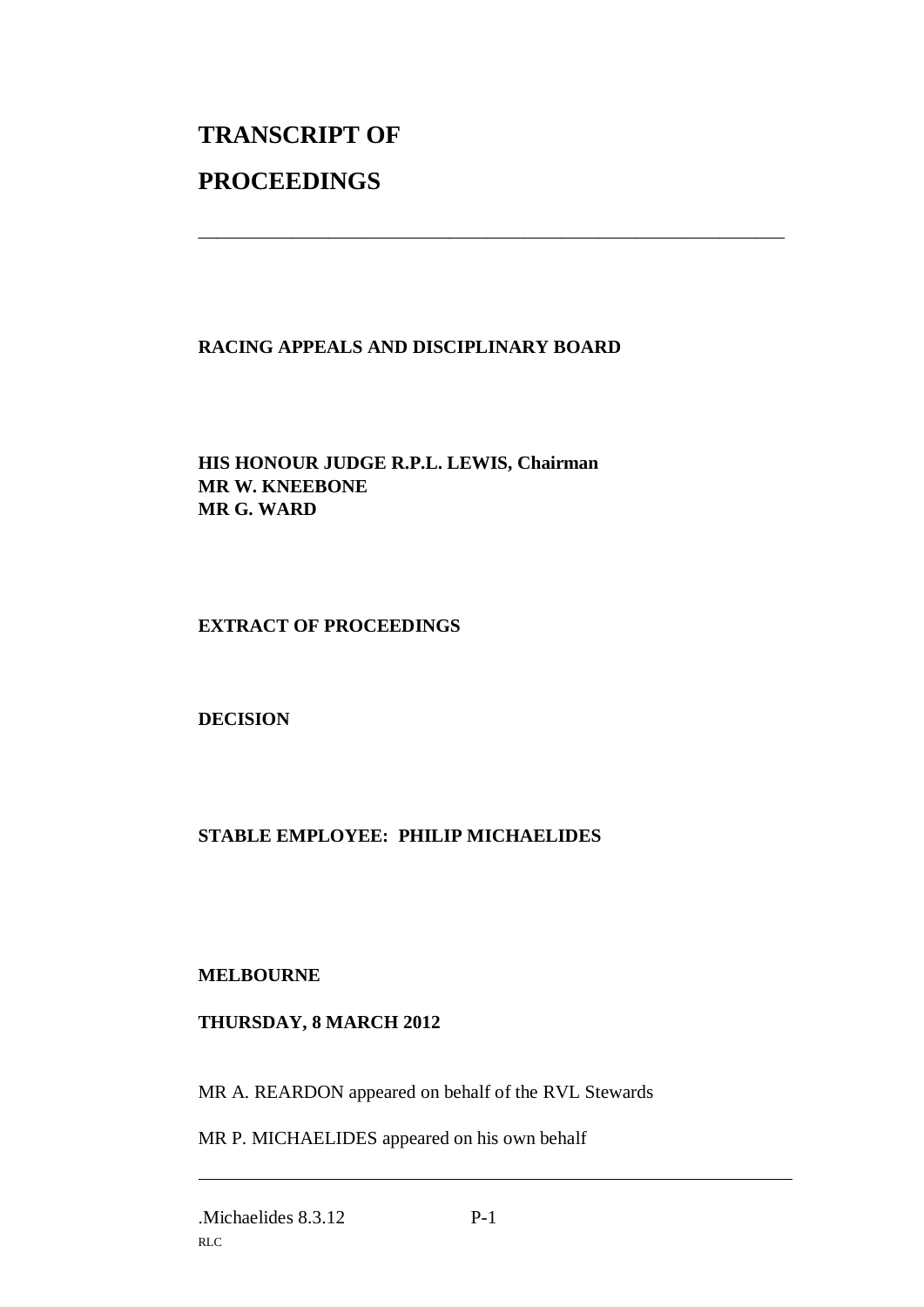# **TRANSCRIPT OF PROCEEDINGS**

### **RACING APPEALS AND DISCIPLINARY BOARD**

\_\_\_\_\_\_\_\_\_\_\_\_\_\_\_\_\_\_\_\_\_\_\_\_\_\_\_\_\_\_\_\_\_\_\_\_\_\_\_\_\_\_\_\_\_\_\_\_\_\_\_\_\_\_\_\_\_\_\_\_\_\_\_

**HIS HONOUR JUDGE R.P.L. LEWIS, Chairman MR W. KNEEBONE MR G. WARD**

### **EXTRACT OF PROCEEDINGS**

### **DECISION**

### **STABLE EMPLOYEE: PHILIP MICHAELIDES**

### **MELBOURNE**

#### **THURSDAY, 8 MARCH 2012**

MR A. REARDON appeared on behalf of the RVL Stewards

MR P. MICHAELIDES appeared on his own behalf